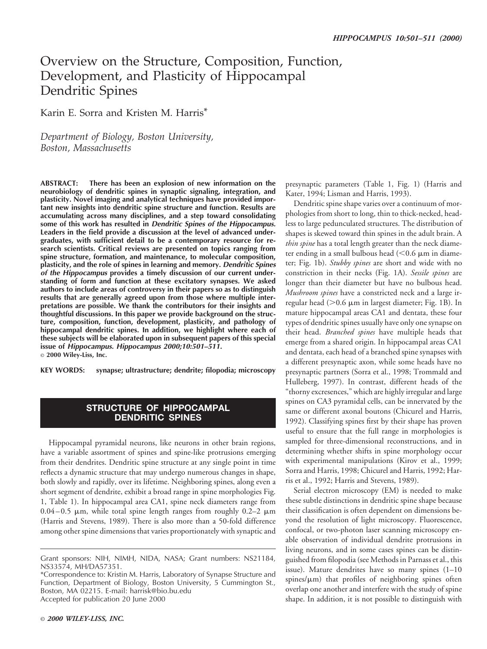# Overview on the Structure, Composition, Function, Development, and Plasticity of Hippocampal Dendritic Spines

Karin E. Sorra and Kristen M. Harris\*

*Department of Biology, Boston University, Boston, Massachusetts*

**ABSTRACT: There has been an explosion of new information on the neurobiology of dendritic spines in synaptic signaling, integration, and plasticity. Novel imaging and analytical techniques have provided important new insights into dendritic spine structure and function. Results are accumulating across many disciplines, and a step toward consolidating some of this work has resulted in Dendritic Spines of the Hippocampus. Leaders in the field provide a discussion at the level of advanced undergraduates, with sufficient detail to be a contemporary resource for research scientists. Critical reviews are presented on topics ranging from spine structure, formation, and maintenance, to molecular composition, plasticity, and the role of spines in learning and memory. Dendritic Spines of the Hippocampus provides a timely discussion of our current understanding of form and function at these excitatory synapses. We asked authors to include areas of controversy in their papers so as to distinguish results that are generally agreed upon from those where multiple interpretations are possible. We thank the contributors for their insights and thoughtful discussions. In this paper we provide background on the structure, composition, function, development, plasticity, and pathology of hippocampal dendritic spines. In addition, we highlight where each of these subjects will be elaborated upon in subsequent papers of this special issue of Hippocampus. Hippocampus 2000;10:501–511.** © **2000 Wiley-Liss, Inc.**

**KEY WORDS: synapse; ultrastructure; dendrite; filopodia; microscopy**

## **STRUCTURE OF HIPPOCAMPAL DENDRITIC SPINES**

Hippocampal pyramidal neurons, like neurons in other brain regions, have a variable assortment of spines and spine-like protrusions emerging from their dendrites. Dendritic spine structure at any single point in time reflects a dynamic structure that may undergo numerous changes in shape, both slowly and rapidly, over its lifetime. Neighboring spines, along even a short segment of dendrite, exhibit a broad range in spine morphologies Fig. 1, Table 1). In hippocampal area CA1, spine neck diameters range from  $0.04-0.5$  µm, while total spine length ranges from roughly  $0.2-2$  µm (Harris and Stevens, 1989). There is also more than a 50-fold difference among other spine dimensions that varies proportionately with synaptic and

\*Correspondence to: Kristin M. Harris, Laboratory of Synapse Structure and Function, Department of Biology, Boston University, 5 Cummington St., Boston, MA 02215. E-mail: harrisk@bio.bu.edu

Accepted for publication 20 June 2000

presynaptic parameters (Table 1, Fig. 1) (Harris and Kater, 1994; Lisman and Harris, 1993).

Dendritic spine shape varies over a continuum of morphologies from short to long, thin to thick-necked, headless to large pedunculated structures. The distribution of shapes is skewed toward thin spines in the adult brain. A *thin spine* has a total length greater than the neck diameter ending in a small bulbous head  $(< 0.6 \mu m)$  in diameter; Fig. 1b). *Stubby spines* are short and wide with no constriction in their necks (Fig. 1A). *Sessile spines* are longer than their diameter but have no bulbous head. *Mushroom spines* have a constricted neck and a large irregular head  $(>0.6 \mu m)$  in largest diameter; Fig. 1B). In mature hippocampal areas CA1 and dentata, these four types of dendritic spines usually have only one synapse on their head. *Branched spines* have multiple heads that emerge from a shared origin. In hippocampal areas CA1 and dentata, each head of a branched spine synapses with a different presynaptic axon, while some heads have no presynaptic partners (Sorra et al., 1998; Trommald and Hulleberg, 1997). In contrast, different heads of the "thorny excresences," which are highly irregular and large spines on CA3 pyramidal cells, can be innervated by the same or different axonal boutons (Chicurel and Harris, 1992). Classifying spines first by their shape has proven useful to ensure that the full range in morphologies is sampled for three-dimensional reconstructions, and in determining whether shifts in spine morphology occur with experimental manipulations (Kirov et al., 1999; Sorra and Harris, 1998; Chicurel and Harris, 1992; Harris et al., 1992; Harris and Stevens, 1989).

Serial electron microscopy (EM) is needed to make these subtle distinctions in dendritic spine shape because their classification is often dependent on dimensions beyond the resolution of light microscopy. Fluorescence, confocal, or two-photon laser scanning microscopy enable observation of individual dendrite protrusions in living neurons, and in some cases spines can be distinguished from filopodia (see Methods in Parnass et al., this issue). Mature dendrites have so many spines (1–10 spines/ $\mu$ m) that profiles of neighboring spines often overlap one another and interfere with the study of spine shape. In addition, it is not possible to distinguish with

Grant sponsors: NIH, NIMH, NIDA, NASA; Grant numbers: NS21184, NS33574, MH/DA57351.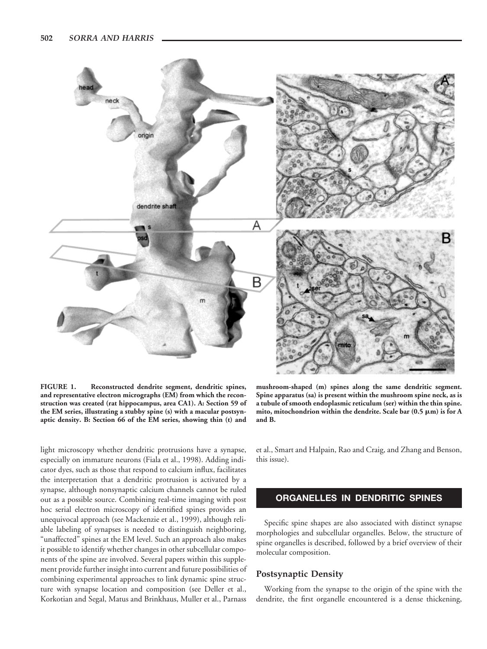

**FIGURE 1. Reconstructed dendrite segment, dendritic spines, and representative electron micrographs (EM) from which the reconstruction was created (rat hippocampus, area CA1). A: Section 59 of the EM series, illustrating a stubby spine (s) with a macular postsynaptic density. B: Section 66 of the EM series, showing thin (t) and**

light microscopy whether dendritic protrusions have a synapse, especially on immature neurons (Fiala et al., 1998). Adding indicator dyes, such as those that respond to calcium influx, facilitates the interpretation that a dendritic protrusion is activated by a synapse, although nonsynaptic calcium channels cannot be ruled out as a possible source. Combining real-time imaging with post hoc serial electron microscopy of identified spines provides an unequivocal approach (see Mackenzie et al., 1999), although reliable labeling of synapses is needed to distinguish neighboring, "unaffected" spines at the EM level. Such an approach also makes it possible to identify whether changes in other subcellular components of the spine are involved. Several papers within this supplement provide further insight into current and future possibilities of combining experimental approaches to link dynamic spine structure with synapse location and composition (see Deller et al., Korkotian and Segal, Matus and Brinkhaus, Muller et al., Parnass

**mushroom-shaped (m) spines along the same dendritic segment. Spine apparatus (sa) is present within the mushroom spine neck, as is a tubule of smooth endoplasmic reticulum (ser) within the thin spine.** mito, mitochondrion within the dendrite. Scale bar (0.5  $\mu$ m) is for A **and B.**

et al., Smart and Halpain, Rao and Craig, and Zhang and Benson, this issue).

## **ORGANELLES IN DENDRITIC SPINES**

Specific spine shapes are also associated with distinct synapse morphologies and subcellular organelles. Below, the structure of spine organelles is described, followed by a brief overview of their molecular composition.

### **Postsynaptic Density**

Working from the synapse to the origin of the spine with the dendrite, the first organelle encountered is a dense thickening,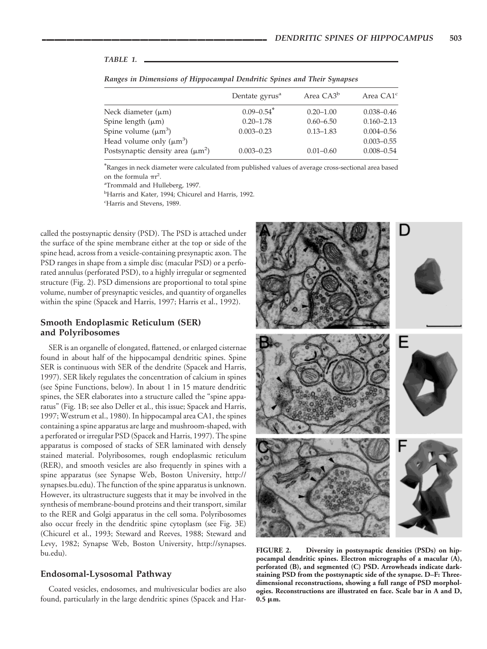#### *TABLE 1.*

|                                       | Dentate gyrus <sup>a</sup> | Area CA3 <sup>b</sup> | Area CA1 <sup>c</sup> |
|---------------------------------------|----------------------------|-----------------------|-----------------------|
| Neck diameter (μm)                    | $0.09 - 0.54$ <sup>*</sup> | $0.20 - 1.00$         | $0.038 - 0.46$        |
| Spine length $(\mu m)$                | $0.20 - 1.78$              | $0.60 - 6.50$         | $0.160 - 2.13$        |
| Spine volume $(\mu m^3)$              | $0.003 - 0.23$             | $0.13 - 1.83$         | $0.004 - 0.56$        |
| Head volume only $(\mu m^3)$          |                            |                       | $0.003 - 0.55$        |
| Postsynaptic density area $(\mu m^2)$ | $0.003 - 0.23$             | $0.01 - 0.60$         | $0.008 - 0.54$        |
|                                       |                            |                       |                       |

|  |  |  |  | Ranges in Dimensions of Hippocampal Dendritic Spines and Their Synapses |  |  |  |  |
|--|--|--|--|-------------------------------------------------------------------------|--|--|--|--|
|  |  |  |  |                                                                         |  |  |  |  |

\*Ranges in neck diameter were calculated from published values of average cross-sectional area based on the formula  $\pi r^2$ .

<sup>a</sup>Trommald and Hulleberg, 1997.

b Harris and Kater, 1994; Chicurel and Harris, 1992.

c Harris and Stevens, 1989.

called the postsynaptic density (PSD). The PSD is attached under the surface of the spine membrane either at the top or side of the spine head, across from a vesicle-containing presynaptic axon. The PSD ranges in shape from a simple disc (macular PSD) or a perforated annulus (perforated PSD), to a highly irregular or segmented structure (Fig. 2). PSD dimensions are proportional to total spine volume, number of presynaptic vesicles, and quantity of organelles within the spine (Spacek and Harris, 1997; Harris et al., 1992).

### **Smooth Endoplasmic Reticulum (SER) and Polyribosomes**

SER is an organelle of elongated, flattened, or enlarged cisternae found in about half of the hippocampal dendritic spines. Spine SER is continuous with SER of the dendrite (Spacek and Harris, 1997). SER likely regulates the concentration of calcium in spines (see Spine Functions, below). In about 1 in 15 mature dendritic spines, the SER elaborates into a structure called the "spine apparatus" (Fig. 1B; see also Deller et al., this issue; Spacek and Harris, 1997; Westrum et al., 1980). In hippocampal area CA1, the spines containing a spine apparatus are large and mushroom-shaped, with a perforated or irregular PSD (Spacek and Harris, 1997). The spine apparatus is composed of stacks of SER laminated with densely stained material. Polyribosomes, rough endoplasmic reticulum (RER), and smooth vesicles are also frequently in spines with a spine apparatus (see Synapse Web, Boston University, http:// synapses.bu.edu). The function of the spine apparatus is unknown. However, its ultrastructure suggests that it may be involved in the synthesis of membrane-bound proteins and their transport, similar to the RER and Golgi apparatus in the cell soma. Polyribosomes also occur freely in the dendritic spine cytoplasm (see Fig. 3E) (Chicurel et al., 1993; Steward and Reeves, 1988; Steward and Levy, 1982; Synapse Web, Boston University, http://synapses. bu.edu).

#### **Endosomal-Lysosomal Pathway**

Coated vesicles, endosomes, and multivesicular bodies are also found, particularly in the large dendritic spines (Spacek and Har-



**FIGURE 2. Diversity in postsynaptic densities (PSDs) on hippocampal dendritic spines. Electron micrographs of a macular (A), perforated (B), and segmented (C) PSD. Arrowheads indicate darkstaining PSD from the postsynaptic side of the synapse. D–F: Threedimensional reconstructions, showing a full range of PSD morphologies. Reconstructions are illustrated en face. Scale bar in A and D, 0.5** m**m.**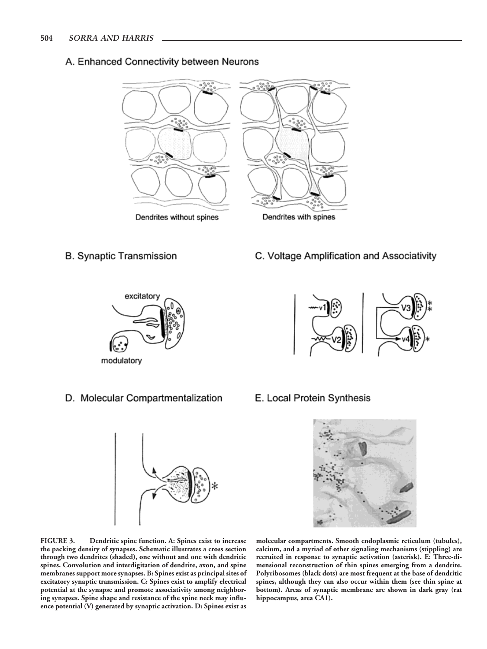## A. Enhanced Connectivity between Neurons



**B. Synaptic Transmission** 

C. Voltage Amplification and Associativity





E. Local Protein Synthesis



D. Molecular Compartmentalization



**FIGURE 3. Dendritic spine function. A: Spines exist to increase the packing density of synapses. Schematic illustrates a cross section through two dendrites (shaded), one without and one with dendritic spines. Convolution and interdigitation of dendrite, axon, and spine membranes support more synapses. B: Spines exist as principal sites of excitatory synaptic transmission. C: Spines exist to amplify electrical potential at the synapse and promote associativity among neighboring synapses. Spine shape and resistance of the spine neck may influence potential (V) generated by synaptic activation. D: Spines exist as**

**molecular compartments. Smooth endoplasmic reticulum (tubules), calcium, and a myriad of other signaling mechanisms (stippling) are recruited in response to synaptic activation (asterisk). E: Three-dimensional reconstruction of thin spines emerging from a dendrite. Polyribosomes (black dots) are most frequent at the base of dendritic spines, although they can also occur within them (see thin spine at bottom). Areas of synaptic membrane are shown in dark gray (rat hippocampus, area CA1).**





modulatory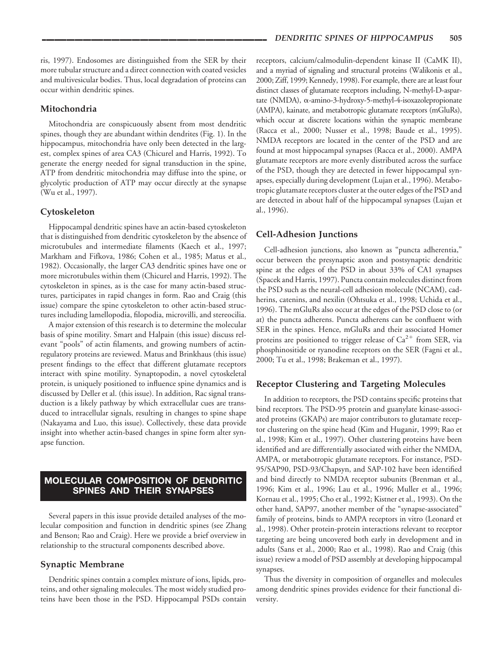ris, 1997). Endosomes are distinguished from the SER by their more tubular structure and a direct connection with coated vesicles and multivesicular bodies. Thus, local degradation of proteins can occur within dendritic spines.

#### **Mitochondria**

Mitochondria are conspicuously absent from most dendritic spines, though they are abundant within dendrites (Fig. 1). In the hippocampus, mitochondria have only been detected in the largest, complex spines of area CA3 (Chicurel and Harris, 1992). To generate the energy needed for signal transduction in the spine, ATP from dendritic mitochondria may diffuse into the spine, or glycolytic production of ATP may occur directly at the synapse (Wu et al., 1997).

#### **Cytoskeleton**

Hippocampal dendritic spines have an actin-based cytoskeleton that is distinguished from dendritic cytoskeleton by the absence of microtubules and intermediate filaments (Kaech et al., 1997; Markham and Fifkova, 1986; Cohen et al., 1985; Matus et al., 1982). Occasionally, the larger CA3 dendritic spines have one or more microtubules within them (Chicurel and Harris, 1992). The cytoskeleton in spines, as is the case for many actin-based structures, participates in rapid changes in form. Rao and Craig (this issue) compare the spine cytoskeleton to other actin-based structures including lamellopodia, filopodia, microvilli, and stereocilia.

A major extension of this research is to determine the molecular basis of spine motility. Smart and Halpain (this issue) discuss relevant "pools" of actin filaments, and growing numbers of actinregulatory proteins are reviewed. Matus and Brinkhaus (this issue) present findings to the effect that different glutamate receptors interact with spine motility. Synaptopodin, a novel cytoskeletal protein, is uniquely positioned to influence spine dynamics and is discussed by Deller et al. (this issue). In addition, Rac signal transduction is a likely pathway by which extracellular cues are transduced to intracellular signals, resulting in changes to spine shape (Nakayama and Luo, this issue). Collectively, these data provide insight into whether actin-based changes in spine form alter synapse function.

## **MOLECULAR COMPOSITION OF DENDRITIC SPINES AND THEIR SYNAPSES**

Several papers in this issue provide detailed analyses of the molecular composition and function in dendritic spines (see Zhang and Benson; Rao and Craig). Here we provide a brief overview in relationship to the structural components described above.

#### **Synaptic Membrane**

Dendritic spines contain a complex mixture of ions, lipids, proteins, and other signaling molecules. The most widely studied proteins have been those in the PSD. Hippocampal PSDs contain

receptors, calcium/calmodulin-dependent kinase II (CaMK II), and a myriad of signaling and structural proteins (Walikonis et al., 2000; Ziff, 1999; Kennedy, 1998). For example, there are at least four distinct classes of glutamate receptors including, N-methyl-D-aspartate (NMDA), a-amino-3-hydroxy-5-methyl-4-isoxazolepropionate (AMPA), kainate, and metabotropic glutamate receptors (mGluRs), which occur at discrete locations within the synaptic membrane (Racca et al., 2000; Nusser et al., 1998; Baude et al., 1995). NMDA receptors are located in the center of the PSD and are found at most hippocampal synapses (Racca et al., 2000). AMPA glutamate receptors are more evenly distributed across the surface of the PSD, though they are detected in fewer hippocampal synapses, especially during development (Lujan et al., 1996). Metabotropic glutamate receptors cluster at the outer edges of the PSD and are detected in about half of the hippocampal synapses (Lujan et al., 1996).

#### **Cell-Adhesion Junctions**

Cell-adhesion junctions, also known as "puncta adherentia," occur between the presynaptic axon and postsynaptic dendritic spine at the edges of the PSD in about 33% of CA1 synapses (Spacek and Harris, 1997). Puncta contain molecules distinct from the PSD such as the neural-cell adhesion molecule (NCAM), cadherins, catenins, and nexilin (Ohtsuka et al., 1998; Uchida et al., 1996). The mGluRs also occur at the edges of the PSD close to (or at) the puncta adherens. Puncta adherens can be confluent with SER in the spines. Hence, mGluRs and their associated Homer proteins are positioned to trigger release of  $Ca^{2+}$  from SER, via phosphinositide or ryanodine receptors on the SER (Fagni et al., 2000; Tu et al., 1998; Brakeman et al., 1997).

### **Receptor Clustering and Targeting Molecules**

In addition to receptors, the PSD contains specific proteins that bind receptors. The PSD-95 protein and guanylate kinase-associated proteins (GKAPs) are major contributors to glutamate receptor clustering on the spine head (Kim and Huganir, 1999; Rao et al., 1998; Kim et al., 1997). Other clustering proteins have been identified and are differentially associated with either the NMDA, AMPA, or metabotropic glutamate receptors. For instance, PSD-95/SAP90, PSD-93/Chapsyn, and SAP-102 have been identified and bind directly to NMDA receptor subunits (Brenman et al., 1996; Kim et al., 1996; Lau et al., 1996; Muller et al., 1996; Kornau et al., 1995; Cho et al., 1992; Kistner et al., 1993). On the other hand, SAP97, another member of the "synapse-associated" family of proteins, binds to AMPA receptors in vitro (Leonard et al., 1998). Other protein-protein interactions relevant to receptor targeting are being uncovered both early in development and in adults (Sans et al., 2000; Rao et al., 1998). Rao and Craig (this issue) review a model of PSD assembly at developing hippocampal synapses.

Thus the diversity in composition of organelles and molecules among dendritic spines provides evidence for their functional diversity.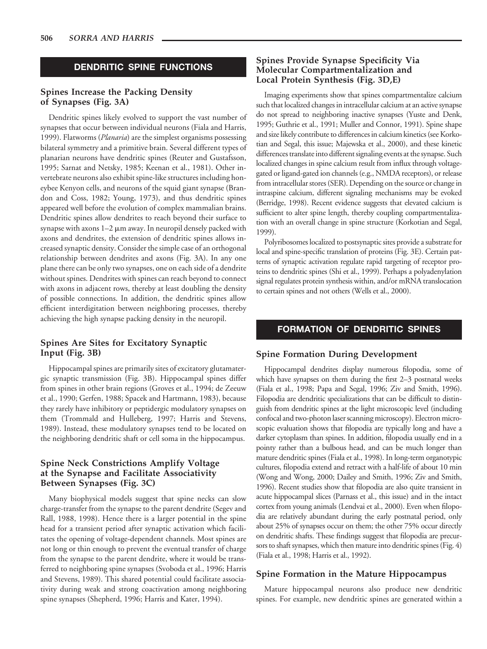## **DENDRITIC SPINE FUNCTIONS**

## **Spines Increase the Packing Density of Synapses (Fig. 3A)**

Dendritic spines likely evolved to support the vast number of synapses that occur between individual neurons (Fiala and Harris, 1999). Flatworms (*Planaria*) are the simplest organisms possessing bilateral symmetry and a primitive brain. Several different types of planarian neurons have dendritic spines (Reuter and Gustafsson, 1995; Sarnat and Netsky, 1985; Keenan et al., 1981). Other invertebrate neurons also exhibit spine-like structures including honeybee Kenyon cells, and neurons of the squid giant synapse (Brandon and Coss, 1982; Young, 1973), and thus dendritic spines appeared well before the evolution of complex mammalian brains. Dendritic spines allow dendrites to reach beyond their surface to synapse with axons  $1-2 \mu m$  away. In neuropil densely packed with axons and dendrites, the extension of dendritic spines allows increased synaptic density. Consider the simple case of an orthogonal relationship between dendrites and axons (Fig. 3A). In any one plane there can be only two synapses, one on each side of a dendrite without spines. Dendrites with spines can reach beyond to connect with axons in adjacent rows, thereby at least doubling the density of possible connections. In addition, the dendritic spines allow efficient interdigitation between neighboring processes, thereby achieving the high synapse packing density in the neuropil.

## **Spines Are Sites for Excitatory Synaptic Input (Fig. 3B)**

Hippocampal spines are primarily sites of excitatory glutamatergic synaptic transmission (Fig. 3B). Hippocampal spines differ from spines in other brain regions (Groves et al., 1994; de Zeeuw et al., 1990; Gerfen, 1988; Spacek and Hartmann, 1983), because they rarely have inhibitory or peptidergic modulatory synapses on them (Trommald and Hulleberg, 1997; Harris and Stevens, 1989). Instead, these modulatory synapses tend to be located on the neighboring dendritic shaft or cell soma in the hippocampus.

## **Spine Neck Constrictions Amplify Voltage at the Synapse and Facilitate Associativity Between Synapses (Fig. 3C)**

Many biophysical models suggest that spine necks can slow charge-transfer from the synapse to the parent dendrite (Segev and Rall, 1988, 1998). Hence there is a larger potential in the spine head for a transient period after synaptic activation which facilitates the opening of voltage-dependent channels. Most spines are not long or thin enough to prevent the eventual transfer of charge from the synapse to the parent dendrite, where it would be transferred to neighboring spine synapses (Svoboda et al., 1996; Harris and Stevens, 1989). This shared potential could facilitate associativity during weak and strong coactivation among neighboring spine synapses (Shepherd, 1996; Harris and Kater, 1994).

## **Spines Provide Synapse Specificity Via Molecular Compartmentalization and Local Protein Synthesis (Fig. 3D,E)**

Imaging experiments show that spines compartmentalize calcium such that localized changes in intracellular calcium at an active synapse do not spread to neighboring inactive synapses (Yuste and Denk, 1995; Guthrie et al., 1991; Muller and Connor, 1991). Spine shape and size likely contribute to differences in calcium kinetics (see Korkotian and Segal, this issue; Majewska et al., 2000), and these kinetic differences translate into different signaling events at the synapse. Such localized changes in spine calcium result from influx through voltagegated or ligand-gated ion channels (e.g., NMDA receptors), or release from intracellular stores (SER). Depending on the source or change in intraspine calcium, different signaling mechanisms may be evoked (Berridge, 1998). Recent evidence suggests that elevated calcium is sufficient to alter spine length, thereby coupling compartmentalization with an overall change in spine structure (Korkotian and Segal, 1999).

Polyribosomes localized to postsynaptic sites provide a substrate for local and spine-specific translation of proteins (Fig. 3E). Certain patterns of synaptic activation regulate rapid targeting of receptor proteins to dendritic spines (Shi et al., 1999). Perhaps a polyadenylation signal regulates protein synthesis within, and/or mRNA translocation to certain spines and not others (Wells et al., 2000).

## **FORMATION OF DENDRITIC SPINES**

#### **Spine Formation During Development**

Hippocampal dendrites display numerous filopodia, some of which have synapses on them during the first 2–3 postnatal weeks (Fiala et al., 1998; Papa and Segal, 1996; Ziv and Smith, 1996). Filopodia are dendritic specializations that can be difficult to distinguish from dendritic spines at the light microscopic level (including confocal and two-photon laser scanning microscopy). Electron microscopic evaluation shows that filopodia are typically long and have a darker cytoplasm than spines. In addition, filopodia usually end in a pointy rather than a bulbous head, and can be much longer than mature dendritic spines (Fiala et al., 1998). In long-term organotypic cultures, filopodia extend and retract with a half-life of about 10 min (Wong and Wong, 2000; Dailey and Smith, 1996; Ziv and Smith, 1996). Recent studies show that filopodia are also quite transient in acute hippocampal slices (Parnass et al., this issue) and in the intact cortex from young animals (Lendvai et al., 2000). Even when filopodia are relatively abundant during the early postnatal period, only about 25% of synapses occur on them; the other 75% occur directly on dendritic shafts. These findings suggest that filopodia are precursors to shaft synapses, which then mature into dendritic spines (Fig. 4) (Fiala et al., 1998; Harris et al., 1992).

#### **Spine Formation in the Mature Hippocampus**

Mature hippocampal neurons also produce new dendritic spines. For example, new dendritic spines are generated within a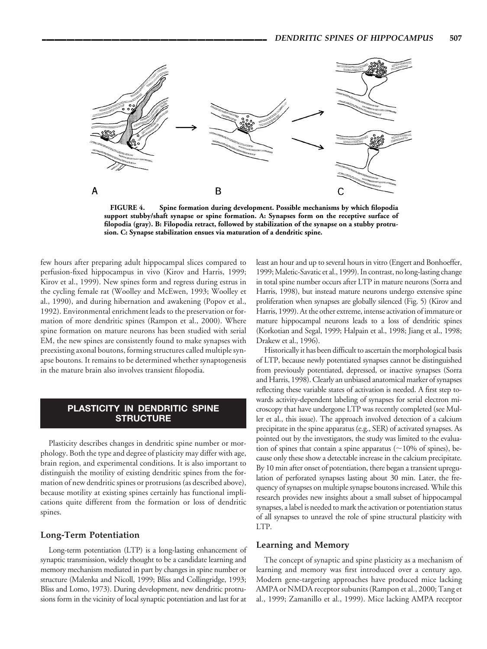

**FIGURE 4. Spine formation during development. Possible mechanisms by which filopodia support stubby/shaft synapse or spine formation. A: Synapses form on the receptive surface of filopodia (gray). B: Filopodia retract, followed by stabilization of the synapse on a stubby protrusion. C: Synapse stabilization ensues via maturation of a dendritic spine.**

few hours after preparing adult hippocampal slices compared to perfusion-fixed hippocampus in vivo (Kirov and Harris, 1999; Kirov et al., 1999). New spines form and regress during estrus in the cycling female rat (Woolley and McEwen, 1993; Woolley et al., 1990), and during hibernation and awakening (Popov et al., 1992). Environmental enrichment leads to the preservation or formation of more dendritic spines (Rampon et al., 2000). Where spine formation on mature neurons has been studied with serial EM, the new spines are consistently found to make synapses with preexisting axonal boutons, forming structures called multiple synapse boutons. It remains to be determined whether synaptogenesis in the mature brain also involves transient filopodia.

## **PLASTICITY IN DENDRITIC SPINE STRUCTURE**

Plasticity describes changes in dendritic spine number or morphology. Both the type and degree of plasticity may differ with age, brain region, and experimental conditions. It is also important to distinguish the motility of existing dendritic spines from the formation of new dendritic spines or protrusions (as described above), because motility at existing spines certainly has functional implications quite different from the formation or loss of dendritic spines.

#### **Long-Term Potentiation**

Long-term potentiation (LTP) is a long-lasting enhancement of synaptic transmission, widely thought to be a candidate learning and memory mechanism mediated in part by changes in spine number or structure (Malenka and Nicoll, 1999; Bliss and Collingridge, 1993; Bliss and Lomo, 1973). During development, new dendritic protrusions form in the vicinity of local synaptic potentiation and last for at

least an hour and up to several hours in vitro (Engert and Bonhoeffer, 1999; Maletic-Savatic et al., 1999). In contrast, no long-lasting change in total spine number occurs after LTP in mature neurons (Sorra and Harris, 1998), but instead mature neurons undergo extensive spine proliferation when synapses are globally silenced (Fig. 5) (Kirov and Harris, 1999). At the other extreme, intense activation of immature or mature hippocampal neurons leads to a loss of dendritic spines (Korkotian and Segal, 1999; Halpain et al., 1998; Jiang et al., 1998; Drakew et al., 1996).

Historically it has been difficult to ascertain the morphological basis of LTP, because newly potentiated synapses cannot be distinguished from previously potentiated, depressed, or inactive synapses (Sorra and Harris, 1998). Clearly an unbiased anatomical marker of synapses reflecting these variable states of activation is needed. A first step towards activity-dependent labeling of synapses for serial electron microscopy that have undergone LTP was recently completed (see Muller et al., this issue). The approach involved detection of a calcium precipitate in the spine apparatus (e.g., SER) of activated synapses. As pointed out by the investigators, the study was limited to the evaluation of spines that contain a spine apparatus ( $\sim$ 10% of spines), because only these show a detectable increase in the calcium precipitate. By 10 min after onset of potentiation, there began a transient upregulation of perforated synapses lasting about 30 min. Later, the frequency of synapses on multiple synapse boutons increased. While this research provides new insights about a small subset of hippocampal synapses, a label is needed to mark the activation or potentiation status of all synapses to unravel the role of spine structural plasticity with LTP.

#### **Learning and Memory**

The concept of synaptic and spine plasticity as a mechanism of learning and memory was first introduced over a century ago. Modern gene-targeting approaches have produced mice lacking AMPA or NMDA receptor subunits (Rampon et al., 2000; Tang et al., 1999; Zamanillo et al., 1999). Mice lacking AMPA receptor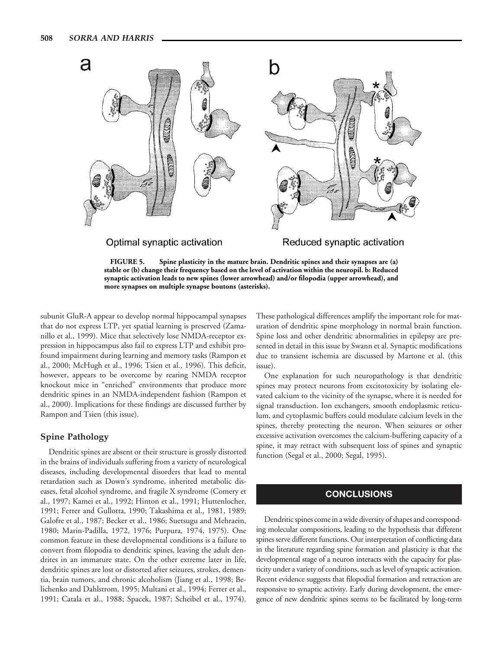

**stable or (b) change their frequency based on the level of activation within the neuropil. b: Reduced synaptic activation leads to new spines (lower arrowhead) and/or filopodia (upper arrowhead), and more synapses on multiple synapse boutons (asterisks).**

subunit GluR-A appear to develop normal hippocampal synapses that do not express LTP, yet spatial learning is preserved (Zamanillo et al., 1999). Mice that selectively lose NMDA-receptor expression in hippocampus also fail to express LTP and exhibit profound impairment during learning and memory tasks (Rampon et al., 2000; McHugh et al., 1996; Tsien et al., 1996). This deficit, however, appears to be overcome by rearing NMDA receptor knockout mice in "enriched" environments that produce more dendritic spines in an NMDA-independent fashion (Rampon et al., 2000). Implications for these findings are discussed further by Rampon and Tsien (this issue).

### **Spine Pathology**

Dendritic spines are absent or their structure is grossly distorted in the brains of individuals suffering from a variety of neurological diseases, including developmental disorders that lead to mental retardation such as Down's syndrome, inherited metabolic diseases, fetal alcohol syndrome, and fragile X syndrome (Comery et al., 1997; Kamei et al., 1992; Hinton et al., 1991; Huttenlocher, 1991; Ferrer and Gullotta, 1990; Takashima et al., 1981, 1989; Galofre et al., 1987; Becker et al., 1986; Suetsugu and Mehraein, 1980; Marin-Padilla, 1972, 1976; Purpura, 1974, 1975). One common feature in these developmental conditions is a failure to convert from filopodia to dendritic spines, leaving the adult dendrites in an immature state. On the other extreme later in life, dendritic spines are lost or distorted after seizures, strokes, dementia, brain tumors, and chronic alcoholism (Jiang et al., 1998; Belichenko and Dahlstrom, 1995; Multani et al., 1994; Ferrer et al., 1991; Catala et al., 1988; Spacek, 1987; Scheibel et al., 1974).

These pathological differences amplify the important role for maturation of dendritic spine morphology in normal brain function. Spine loss and other dendritic abnormalities in epilepsy are presented in detail in this issue by Swann et al. Synaptic modifications due to transient ischemia are discussed by Martone et al. (this issue).

One explanation for such neuropathology is that dendritic spines may protect neurons from excitotoxicity by isolating elevated calcium to the vicinity of the synapse, where it is needed for signal transduction. Ion exchangers, smooth endoplasmic reticulum, and cytoplasmic buffers could modulate calcium levels in the spines, thereby protecting the neuron. When seizures or other excessive activation overcomes the calcium-buffering capacity of a spine, it may retract with subsequent loss of spines and synaptic function (Segal et al., 2000; Segal, 1995).

## **CONCLUSIONS**

Dendritic spines come in a wide diversity of shapes and corresponding molecular compositions, leading to the hypothesis that different spines serve different functions. Our interpretation of conflicting data in the literature regarding spine formation and plasticity is that the developmental stage of a neuron interacts with the capacity for plasticity under a variety of conditions, such as level of synaptic activation. Recent evidence suggests that filopodial formation and retraction are responsive to synaptic activity. Early during development, the emergence of new dendritic spines seems to be facilitated by long-term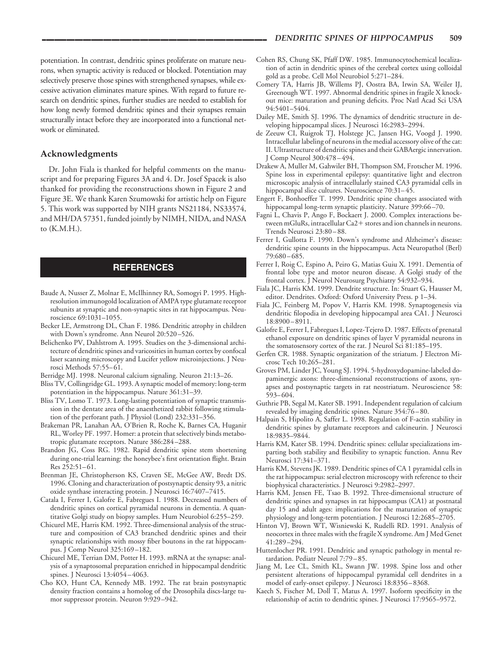potentiation. In contrast, dendritic spines proliferate on mature neurons, when synaptic activity is reduced or blocked. Potentiation may selectively preserve those spines with strengthened synapses, while excessive activation eliminates mature spines. With regard to future research on dendritic spines, further studies are needed to establish for how long newly formed dendritic spines and their synapses remain structurally intact before they are incorporated into a functional network or eliminated.

### **Acknowledgments**

Dr. John Fiala is thanked for helpful comments on the manuscript and for preparing Figures 3A and 4. Dr. Josef Spacek is also thanked for providing the reconstructions shown in Figure 2 and Figure 3E. We thank Karen Szumowski for artistic help on Figure 5. This work was supported by NIH grants NS21184, NS33574, and MH/DA 57351, funded jointly by NIMH, NIDA, and NASA to (K.M.H.).

## **REFERENCES**

- Baude A, Nusser Z, Molnar E, McIlhinney RA, Somogyi P. 1995. Highresolution immunogold localization of AMPA type glutamate receptor subunits at synaptic and non-synaptic sites in rat hippocampus. Neuroscience 69:1031–1055.
- Becker LE, Armstrong DL, Chan F. 1986. Dendritic atrophy in children with Down's syndrome. Ann Neurol 20:520–526.
- Belichenko PV, Dahlstrom A. 1995. Studies on the 3-dimensional architecture of dendritic spines and varicosities in human cortex by confocal laser scanning microscopy and Lucifer yellow microinjections. J Neurosci Methods 57:55–61.
- Berridge MJ. 1998. Neuronal calcium signaling. Neuron 21:13–26.
- Bliss TV, Collingridge GL. 1993. A synaptic model of memory: long-term potentiation in the hippocampus. Nature 361:31–39.
- Bliss TV, Lomo T. 1973. Long-lasting potentiation of synaptic transmission in the dentate area of the anaesthetized rabbit following stimulation of the perforant path. J Physiol (Lond) 232:331–356.
- Brakeman PR, Lanahan AA, O'Brien R, Roche K, Barnes CA, Huganir RL, Worley PF. 1997. Homer: a protein that selectively binds metabotropic glutamate receptors. Nature 386:284–288.
- Brandon JG, Coss RG. 1982. Rapid dendritic spine stem shortening during one-trial learning: the honeybee's first orientation flight. Brain Res 252:51–61.
- Brenman JE, Christopherson KS, Craven SE, McGee AW, Bredt DS. 1996. Cloning and characterization of postsynaptic density 93, a nitric oxide synthase interacting protein. J Neurosci 16:7407–7415.
- Catala I, Ferrer I, Galofre E, Fabregues I. 1988. Decreased numbers of dendritic spines on cortical pyramidal neurons in dementia. A quantitative Golgi study on biopsy samples. Hum Neurobiol 6:255–259.
- Chicurel ME, Harris KM. 1992. Three-dimensional analysis of the structure and composition of CA3 branched dendritic spines and their synaptic relationships with mossy fiber boutons in the rat hippocampus. J Comp Neurol 325:169–182.
- Chicurel ME, Terrian DM, Potter H. 1993. mRNA at the synapse: analysis of a synaptosomal preparation enriched in hippocampal dendritic spines. J Neurosci 13:4054–4063.
- Cho KO, Hunt CA, Kennedy MB. 1992. The rat brain postsynaptic density fraction contains a homolog of the Drosophila discs-large tumor suppressor protein. Neuron 9:929–942.
- Cohen RS, Chung SK, Pfaff DW. 1985. Immunocytochemical localization of actin in dendritic spines of the cerebral cortex using colloidal gold as a probe. Cell Mol Neurobiol 5:271–284.
- Comery TA, Harris JB, Willems PJ, Oostra BA, Irwin SA, Weiler IJ, Greenough WT. 1997. Abnormal dendritic spines in fragile X knockout mice: maturation and pruning deficits. Proc Natl Acad Sci USA 94:5401–5404.
- Dailey ME, Smith SJ. 1996. The dynamics of dendritic structure in developing hippocampal slices. J Neurosci 16:2983–2994.
- de Zeeuw CI, Ruigrok TJ, Holstege JC, Jansen HG, Voogd J. 1990. Intracellular labeling of neurons in the medial accessory olive of the cat: II. Ultrastructure of dendritic spines and their GABAergic innervation. J Comp Neurol 300:478–494.
- Drakew A, Muller M, Gahwiler BH, Thompson SM, Frotscher M. 1996. Spine loss in experimental epilepsy: quantitative light and electron microscopic analysis of intracellularly stained CA3 pyramidal cells in hippocampal slice cultures. Neuroscience 70:31–45.
- Engert F, Bonhoeffer T. 1999. Dendritic spine changes associated with hippocampal long-term synaptic plasticity. Nature 399:66–70.
- Fagni L, Chavis P, Ango F, Bockaert J. 2000. Complex interactions between mGluRs, intracellular  $Ca2+$  stores and ion channels in neurons. Trends Neurosci 23:80–88.
- Ferrer I, Gullotta F. 1990. Down's syndrome and Alzheimer's disease: dendritic spine counts in the hippocampus. Acta Neuropathol (Berl) 79:680–685.
- Ferrer I, Roig C, Espino A, Peiro G, Matias Guiu X. 1991. Dementia of frontal lobe type and motor neuron disease. A Golgi study of the frontal cortex. J Neurol Neurosurg Psychiatry 54:932–934.
- Fiala JC, Harris KM. 1999. Dendrite structure. In: Stuart G, Hausser M, editor. Dendrites. Oxford: Oxford University Press. p 1–34.
- Fiala JC, Feinberg M, Popov V, Harris KM. 1998. Synaptogenesis via dendritic filopodia in developing hippocampal area CA1. J Neurosci 18:8900–8911.
- Galofre E, Ferrer I, Fabregues I, Lopez-Tejero D. 1987. Effects of prenatal ethanol exposure on dendritic spines of layer V pyramidal neurons in the somatosensory cortex of the rat. J Neurol Sci 81:185–195.
- Gerfen CR. 1988. Synaptic organization of the striatum. J Electron Microsc Tech 10:265–281.
- Groves PM, Linder JC, Young SJ. 1994. 5-hydroxydopamine-labeled dopaminergic axons: three-dimensional reconstructions of axons, synapses and postsynaptic targets in rat neostriatum. Neuroscience 58: 593–604.
- Guthrie PB, Segal M, Kater SB. 1991. Independent regulation of calcium revealed by imaging dendritic spines. Nature 354:76–80.
- Halpain S, Hipolito A, Saffer L. 1998. Regulation of F-actin stability in dendritic spines by glutamate receptors and calcineurin. J Neurosci 18:9835–9844.
- Harris KM, Kater SB. 1994. Dendritic spines: cellular specializations imparting both stability and flexibility to synaptic function. Annu Rev Neurosci 17:341–371.
- Harris KM, Stevens JK. 1989. Dendritic spines of CA 1 pyramidal cells in the rat hippocampus: serial electron microscopy with reference to their biophysical characteristics. J Neurosci 9:2982–2997.
- Harris KM, Jensen FE, Tsao B. 1992. Three-dimensional structure of dendritic spines and synapses in rat hippocampus (CA1) at postnatal day 15 and adult ages: implications for the maturation of synaptic physiology and long-term potentiation. J Neurosci 12:2685–2705.
- Hinton VJ, Brown WT, Wisniewski K, Rudelli RD. 1991. Analysis of neocortex in three males with the fragile X syndrome. Am J Med Genet 41:289–294.
- Huttenlocher PR. 1991. Dendritic and synaptic pathology in mental retardation. Pediatr Neurol 7:79–85.
- Jiang M, Lee CL, Smith KL, Swann JW. 1998. Spine loss and other persistent alterations of hippocampal pyramidal cell dendrites in a model of early-onset epilepsy. J Neurosci 18:8356–8368.
- Kaech S, Fischer M, Doll T, Matus A. 1997. Isoform specificity in the relationship of actin to dendritic spines. J Neurosci 17:9565–9572.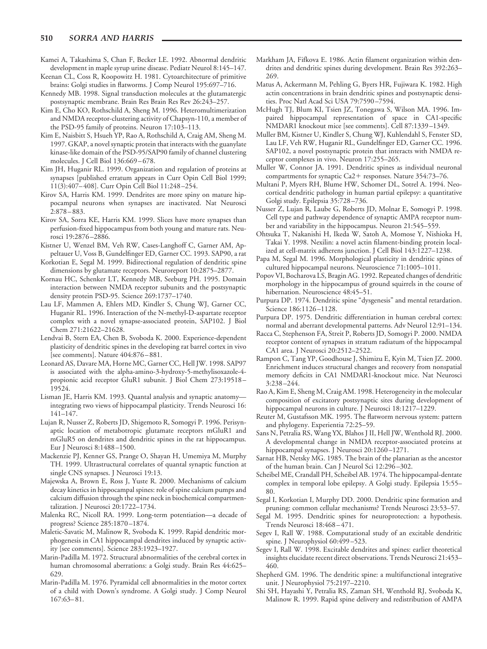- Kamei A, Takashima S, Chan F, Becker LE. 1992. Abnormal dendritic development in maple syrup urine disease. Pediatr Neurol 8:145–147.
- Keenan CL, Coss R, Koopowitz H. 1981. Cytoarchitecture of primitive brains: Golgi studies in flatworms. J Comp Neurol 195:697–716.
- Kennedy MB. 1998. Signal transduction molecules at the glutamatergic postsynaptic membrane. Brain Res Brain Res Rev 26:243–257.
- Kim E, Cho KO, Rothschild A, Sheng M. 1996. Heteromultimerization and NMDA receptor-clustering activity of Chapsyn-110, a member of the PSD-95 family of proteins. Neuron 17:103–113.
- Kim E, Naisbitt S, Hsueh YP, Rao A, Rothschild A, Craig AM, Sheng M. 1997. GKAP, a novel synaptic protein that interacts with the guanylate kinase-like domain of the PSD-95/SAP90 family of channel clustering molecules. J Cell Biol 136:669–678.
- Kim JH, Huganir RL. 1999. Organization and regulation of proteins at synapses [published erratum appears in Curr Opin Cell Biol 1999; 11(3):407–408]. Curr Opin Cell Biol 11:248–254.
- Kirov SA, Harris KM. 1999. Dendrites are more spiny on mature hippocampal neurons when synapses are inactivated. Nat Neurosci 2:878–883.
- Kirov SA, Sorra KE, Harris KM. 1999. Slices have more synapses than perfusion-fixed hippocampus from both young and mature rats. Neurosci 19:2876–2886.
- Kistner U, Wenzel BM, Veh RW, Cases-Langhoff C, Garner AM, Appeltauer U, Voss B, Gundelfinger ED, Garner CC. 1993. SAP90, a rat
- Korkotian E, Segal M. 1999. Bidirectional regulation of dendritic spine dimensions by glutamate receptors. Neuroreport 10:2875–2877.
- Kornau HC, Schenker LT, Kennedy MB, Seeburg PH. 1995. Domain interaction between NMDA receptor subunits and the postsynaptic density protein PSD-95. Science 269:1737–1740.
- Lau LF, Mammen A, Ehlers MD, Kindler S, Chung WJ, Garner CC, Huganir RL. 1996. Interaction of the N-methyl-D-aspartate receptor complex with a novel synapse-associated protein, SAP102. J Biol Chem 271:21622–21628.
- Lendvai B, Stern EA, Chen B, Svoboda K. 2000. Experience-dependent plasticity of dendritic spines in the developing rat barrel cortex in vivo [see comments]. Nature 404:876–881.
- Leonard AS, Davare MA, Horne MC, Garner CC, Hell JW. 1998. SAP97 is associated with the alpha-amino-3-hydroxy-5-methylisoxazole-4 propionic acid receptor GluR1 subunit. J Biol Chem 273:19518– 19524.
- Lisman JE, Harris KM. 1993. Quantal analysis and synaptic anatomy integrating two views of hippocampal plasticity. Trends Neurosci 16: 141–147.
- Lujan R, Nusser Z, Roberts JD, Shigemoto R, Somogyi P. 1996. Perisynaptic location of metabotropic glutamate receptors mGluR1 and mGluR5 on dendrites and dendritic spines in the rat hippocampus. Eur J Neurosci 8:1488–1500.
- Mackenzie PJ, Kenner GS, Prange O, Shayan H, Umemiya M, Murphy TH. 1999. Ultrastructural correlates of quantal synaptic function at single CNS synapses. J Neurosci 19:13.
- Majewska A, Brown E, Ross J, Yuste R. 2000. Mechanisms of calcium decay kinetics in hippocampal spines: role of spine calcium pumps and calcium diffusion through the spine neck in biochemical compartmentalization. J Neurosci 20:1722–1734.
- Malenka RC, Nicoll RA. 1999. Long-term potentiation—a decade of progress? Science 285:1870–1874.
- Maletic-Savatic M, Malinow R, Svoboda K. 1999. Rapid dendritic morphogenesis in CA1 hippocampal dendrites induced by synaptic activity [see comments]. Science 283:1923–1927.
- Marin-Padilla M. 1972. Structural abnormalities of the cerebral cortex in human chromosomal aberrations: a Golgi study. Brain Res 44:625– 629.
- Marin-Padilla M. 1976. Pyramidal cell abnormalities in the motor cortex of a child with Down's syndrome. A Golgi study. J Comp Neurol 167:63–81.
- Markham JA, Fifkova E. 1986. Actin filament organization within dendrites and dendritic spines during development. Brain Res 392:263– 269.
- Matus A, Ackermann M, Pehling G, Byers HR, Fujiwara K. 1982. High actin concentrations in brain dendritic spines and postsynaptic densities. Proc Natl Acad Sci USA 79:7590–7594.
- McHugh TJ, Blum KI, Tsien JZ, Tonegawa S, Wilson MA. 1996. Impaired hippocampal representation of space in CA1-specific NMDAR1 knockout mice [see comments]. Cell 87:1339–1349.
- Muller BM, Kistner U, Kindler S, Chung WJ, Kuhlendahl S, Fenster SD, Lau LF, Veh RW, Huganir RL, Gundelfinger ED, Garner CC. 1996. SAP102, a novel postsynaptic protein that interacts with NMDA receptor complexes in vivo. Neuron 17:255–265.
- Muller W, Connor JA. 1991. Dendritic spines as individual neuronal compartments for synaptic Ca2+ responses. Nature  $354:73-76$ .
- Multani P, Myers RH, Blume HW, Schomer DL, Sotrel A. 1994. Neocortical dendritic pathology in human partial epilepsy: a quantitative Golgi study. Epilepsia 35:728–736.
- Nusser Z, Lujan R, Laube G, Roberts JD, Molnar E, Somogyi P. 1998. Cell type and pathway dependence of synaptic AMPA receptor number and variability in the hippocampus. Neuron 21:545–559.
- Ohtsuka T, Nakanishi H, Ikeda W, Satoh A, Momose Y, Nishioka H, Takai Y. 1998. Nexilin: a novel actin filament-binding protein localized at cell-matrix adherens junction. J Cell Biol 143:1227–1238.
- Papa M, Segal M. 1996. Morphological plasticity in dendritic spines of cultured hippocampal neurons. Neuroscience 71:1005–1011.
- Popov VI, Bocharova LS, Bragin AG. 1992. Repeated changes of dendritic morphology in the hippocampus of ground squirrels in the course of hibernation. Neuroscience 48:45-51.
- Purpura DP. 1974. Dendritic spine "dysgenesis" and mental retardation. Science 186:1126–1128.
- Purpura DP. 1975. Dendritic differentiation in human cerebral cortex: normal and aberrant developmental patterns. Adv Neurol 12:91–134.
- Racca C, Stephenson FA, Streit P, Roberts JD, Somogyi P. 2000. NMDA receptor content of synapses in stratum radiatum of the hippocampal CA1 area. J Neurosci 20:2512–2522.
- Rampon C, Tang YP, Goodhouse J, Shimizu E, Kyin M, Tsien JZ. 2000. Enrichment induces structural changes and recovery from nonspatial memory deficits in CA1 NMDAR1-knockout mice. Nat Neurosci 3:238–244.
- Rao A, Kim E, Sheng M, Craig AM. 1998. Heterogeneity in the molecular composition of excitatory postsynaptic sites during development of hippocampal neurons in culture. J Neurosci 18:1217–1229.
- Reuter M, Gustafsson MK. 1995. The flatworm nervous system: pattern and phylogeny. Experientia 72:25–59.
- Sans N, Petralia RS, Wang YX, Blahos J II, Hell JW, Wenthold RJ. 2000. A developmental change in NMDA receptor-associated proteins at hippocampal synapses. J Neurosci 20:1260–1271.
- Sarnat HB, Netsky MG. 1985. The brain of the planarian as the ancestor of the human brain. Can J Neurol Sci 12:296–302.
- Scheibel ME, Crandall PH, Scheibel AB. 1974. The hippocampal-dentate complex in temporal lobe epilepsy. A Golgi study. Epilepsia 15:55– 80.
- Segal I, Korkotian I, Murphy DD. 2000. Dendritic spine formation and pruning: common cellular mechanisms? Trends Neurosci 23:53–57.
- Segal M. 1995. Dendritic spines for neuroprotection: a hypothesis. Trends Neurosci 18:468–471.
- Segev I, Rall W. 1988. Computational study of an excitable dendritic spine. J Neurophysiol 60:499–523.
- Segev I, Rall W. 1998. Excitable dendrites and spines: earlier theoretical insights elucidate recent direct observations. Trends Neurosci 21:453– 460.
- Shepherd GM. 1996. The dendritic spine: a multifunctional integrative unit. J Neurophysiol 75:2197–2210.
- Shi SH, Hayashi Y, Petralia RS, Zaman SH, Wenthold RJ, Svoboda K, Malinow R. 1999. Rapid spine delivery and redistribution of AMPA